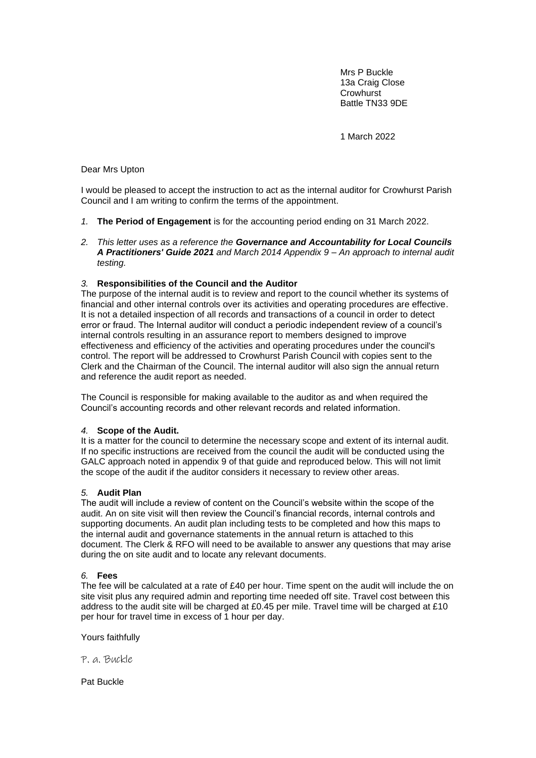Mrs P Buckle 13a Craig Close **Crowhurst** Battle TN33 9DE

1 March 2022

### Dear Mrs Upton

I would be pleased to accept the instruction to act as the internal auditor for Crowhurst Parish Council and I am writing to confirm the terms of the appointment.

- *1.* **The Period of Engagement** is for the accounting period ending on 31 March 2022.
- *2. This letter uses as a reference the Governance and Accountability for Local Councils A Practitioners' Guide 2021 and March 2014 Appendix 9 – An approach to internal audit testing.*

## *3.* **Responsibilities of the Council and the Auditor**

The purpose of the internal audit is to review and report to the council whether its systems of financial and other internal controls over its activities and operating procedures are effective. It is not a detailed inspection of all records and transactions of a council in order to detect error or fraud. The Internal auditor will conduct a periodic independent review of a council's internal controls resulting in an assurance report to members designed to improve effectiveness and efficiency of the activities and operating procedures under the council's control. The report will be addressed to Crowhurst Parish Council with copies sent to the Clerk and the Chairman of the Council. The internal auditor will also sign the annual return and reference the audit report as needed.

The Council is responsible for making available to the auditor as and when required the Council's accounting records and other relevant records and related information.

## *4.* **Scope of the Audit.**

It is a matter for the council to determine the necessary scope and extent of its internal audit. If no specific instructions are received from the council the audit will be conducted using the GALC approach noted in appendix 9 of that guide and reproduced below. This will not limit the scope of the audit if the auditor considers it necessary to review other areas.

#### *5.* **Audit Plan**

The audit will include a review of content on the Council's website within the scope of the audit. An on site visit will then review the Council's financial records, internal controls and supporting documents. An audit plan including tests to be completed and how this maps to the internal audit and governance statements in the annual return is attached to this document. The Clerk & RFO will need to be available to answer any questions that may arise during the on site audit and to locate any relevant documents.

#### *6.* **Fees**

The fee will be calculated at a rate of £40 per hour. Time spent on the audit will include the on site visit plus any required admin and reporting time needed off site. Travel cost between this address to the audit site will be charged at £0.45 per mile. Travel time will be charged at £10 per hour for travel time in excess of 1 hour per day.

Yours faithfully

P. a. Buckle

Pat Buckle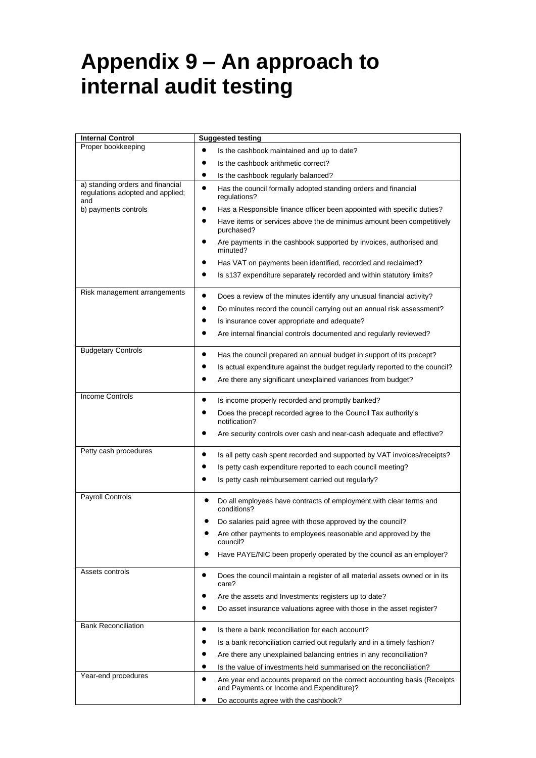# **Appendix 9 – An approach to internal audit testing**

| <b>Internal Control</b>                                                     | <b>Suggested testing</b>                                                                                                          |  |
|-----------------------------------------------------------------------------|-----------------------------------------------------------------------------------------------------------------------------------|--|
| Proper bookkeeping                                                          | Is the cashbook maintained and up to date?                                                                                        |  |
|                                                                             | Is the cashbook arithmetic correct?                                                                                               |  |
|                                                                             | Is the cashbook regularly balanced?                                                                                               |  |
| a) standing orders and financial<br>regulations adopted and applied;<br>and | $\bullet$<br>Has the council formally adopted standing orders and financial<br>regulations?                                       |  |
| b) payments controls                                                        | Has a Responsible finance officer been appointed with specific duties?                                                            |  |
|                                                                             | Have items or services above the de minimus amount been competitively<br>purchased?                                               |  |
|                                                                             | Are payments in the cashbook supported by invoices, authorised and<br>minuted?                                                    |  |
|                                                                             | Has VAT on payments been identified, recorded and reclaimed?                                                                      |  |
|                                                                             | Is s137 expenditure separately recorded and within statutory limits?                                                              |  |
| Risk management arrangements                                                | Does a review of the minutes identify any unusual financial activity?<br>$\bullet$                                                |  |
|                                                                             | Do minutes record the council carrying out an annual risk assessment?                                                             |  |
|                                                                             | Is insurance cover appropriate and adequate?<br>٠                                                                                 |  |
|                                                                             | Are internal financial controls documented and regularly reviewed?                                                                |  |
| <b>Budgetary Controls</b>                                                   | Has the council prepared an annual budget in support of its precept?                                                              |  |
|                                                                             | Is actual expenditure against the budget regularly reported to the council?                                                       |  |
|                                                                             | Are there any significant unexplained variances from budget?                                                                      |  |
| <b>Income Controls</b>                                                      | Is income properly recorded and promptly banked?                                                                                  |  |
|                                                                             | Does the precept recorded agree to the Council Tax authority's<br>notification?                                                   |  |
|                                                                             | Are security controls over cash and near-cash adequate and effective?                                                             |  |
| Petty cash procedures                                                       | Is all petty cash spent recorded and supported by VAT invoices/receipts?                                                          |  |
|                                                                             | Is petty cash expenditure reported to each council meeting?                                                                       |  |
|                                                                             | Is petty cash reimbursement carried out regularly?                                                                                |  |
| <b>Payroll Controls</b>                                                     | Do all employees have contracts of employment with clear terms and<br>conditions?                                                 |  |
|                                                                             | Do salaries paid agree with those approved by the council?                                                                        |  |
|                                                                             | Are other payments to employees reasonable and approved by the<br>council?                                                        |  |
|                                                                             | Have PAYE/NIC been properly operated by the council as an employer?                                                               |  |
| Assets controls                                                             | Does the council maintain a register of all material assets owned or in its<br>٠<br>care?                                         |  |
|                                                                             | Are the assets and Investments registers up to date?                                                                              |  |
|                                                                             | Do asset insurance valuations agree with those in the asset register?                                                             |  |
| <b>Bank Reconciliation</b>                                                  | Is there a bank reconciliation for each account?<br>٠                                                                             |  |
|                                                                             | Is a bank reconciliation carried out regularly and in a timely fashion?                                                           |  |
|                                                                             | Are there any unexplained balancing entries in any reconciliation?                                                                |  |
|                                                                             | Is the value of investments held summarised on the reconciliation?                                                                |  |
| Year-end procedures                                                         | Are year end accounts prepared on the correct accounting basis (Receipts<br>$\bullet$<br>and Payments or Income and Expenditure)? |  |
|                                                                             | Do accounts agree with the cashbook?                                                                                              |  |